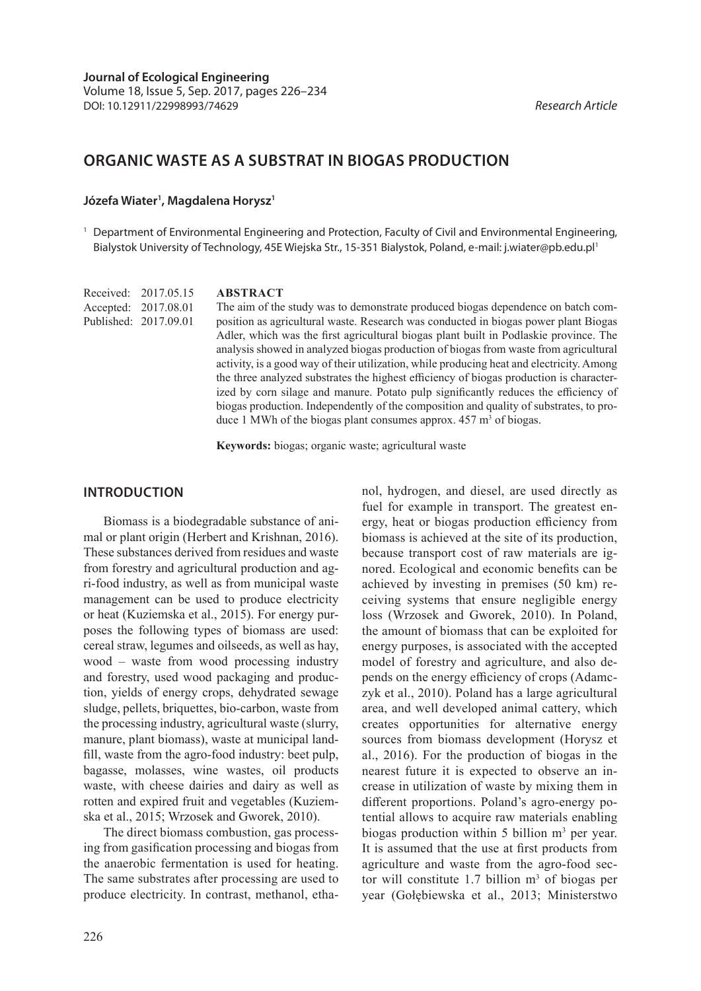# **ORGANIC WASTE AS A SUBSTRAT IN BIOGAS PRODUCTION**

#### **Józefa Wiater1 , Magdalena Horysz1**

<sup>1</sup> Department of Environmental Engineering and Protection, Faculty of Civil and Environmental Engineering, Bialystok University of Technology, 45E Wiejska Str., 15-351 Bialystok, Poland, e-mail: j.wiater@pb.edu.pl1

Received: 2017.05.15 Accepted: 2017.08.01 Published: 2017.09.01

#### **ABSTRACT**

The aim of the study was to demonstrate produced biogas dependence on batch composition as agricultural waste. Research was conducted in biogas power plant Biogas Adler, which was the first agricultural biogas plant built in Podlaskie province. The analysis showed in analyzed biogas production of biogas from waste from agricultural activity, is a good way of their utilization, while producing heat and electricity. Among the three analyzed substrates the highest efficiency of biogas production is characterized by corn silage and manure. Potato pulp significantly reduces the efficiency of biogas production. Independently of the composition and quality of substrates, to produce 1 MWh of the biogas plant consumes approx.  $457 \text{ m}^3$  of biogas.

**Keywords:** biogas; organic waste; agricultural waste

#### **INTRODUCTION**

Biomass is a biodegradable substance of animal or plant origin (Herbert and Krishnan, 2016). These substances derived from residues and waste from forestry and agricultural production and agri-food industry, as well as from municipal waste management can be used to produce electricity or heat (Kuziemska et al., 2015). For energy purposes the following types of biomass are used: cereal straw, legumes and oilseeds, as well as hay, wood – waste from wood processing industry and forestry, used wood packaging and production, yields of energy crops, dehydrated sewage sludge, pellets, briquettes, bio-carbon, waste from the processing industry, agricultural waste (slurry, manure, plant biomass), waste at municipal landfill, waste from the agro-food industry: beet pulp, bagasse, molasses, wine wastes, oil products waste, with cheese dairies and dairy as well as rotten and expired fruit and vegetables (Kuziemska et al., 2015; Wrzosek and Gworek, 2010).

The direct biomass combustion, gas processing from gasification processing and biogas from the anaerobic fermentation is used for heating. The same substrates after processing are used to produce electricity. In contrast, methanol, ethanol, hydrogen, and diesel, are used directly as fuel for example in transport. The greatest energy, heat or biogas production efficiency from biomass is achieved at the site of its production, because transport cost of raw materials are ignored. Ecological and economic benefits can be achieved by investing in premises (50 km) receiving systems that ensure negligible energy loss (Wrzosek and Gworek, 2010). In Poland, the amount of biomass that can be exploited for energy purposes, is associated with the accepted model of forestry and agriculture, and also depends on the energy efficiency of crops (Adamczyk et al., 2010). Poland has a large agricultural area, and well developed animal cattery, which creates opportunities for alternative energy sources from biomass development (Horysz et al., 2016). For the production of biogas in the nearest future it is expected to observe an increase in utilization of waste by mixing them in different proportions. Poland's agro-energy potential allows to acquire raw materials enabling biogas production within 5 billion  $m<sup>3</sup>$  per year. It is assumed that the use at first products from agriculture and waste from the agro-food sector will constitute 1.7 billion  $m<sup>3</sup>$  of biogas per year (Gołębiewska et al., 2013; Ministerstwo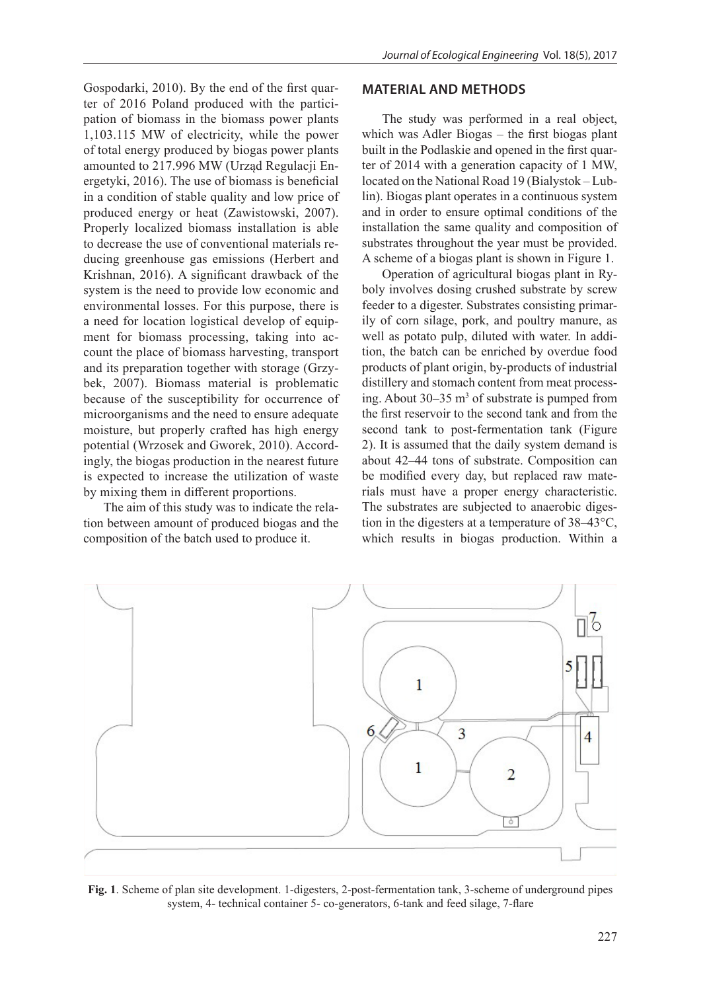Gospodarki, 2010). By the end of the first quarter of 2016 Poland produced with the participation of biomass in the biomass power plants 1,103.115 MW of electricity, while the power of total energy produced by biogas power plants amounted to 217.996 MW (Urząd Regulacji Energetyki, 2016). The use of biomass is beneficial in a condition of stable quality and low price of produced energy or heat (Zawistowski, 2007). Properly localized biomass installation is able to decrease the use of conventional materials reducing greenhouse gas emissions (Herbert and Krishnan, 2016). A significant drawback of the system is the need to provide low economic and environmental losses. For this purpose, there is a need for location logistical develop of equipment for biomass processing, taking into account the place of biomass harvesting, transport and its preparation together with storage (Grzybek, 2007). Biomass material is problematic because of the susceptibility for occurrence of microorganisms and the need to ensure adequate moisture, but properly crafted has high energy potential (Wrzosek and Gworek, 2010). Accordingly, the biogas production in the nearest future is expected to increase the utilization of waste by mixing them in different proportions.

The aim of this study was to indicate the relation between amount of produced biogas and the composition of the batch used to produce it.

#### **MATERIAL AND METHODS**

The study was performed in a real object, which was Adler Biogas – the first biogas plant built in the Podlaskie and opened in the first quarter of 2014 with a generation capacity of 1 MW, located on the National Road 19 (Bialystok – Lublin). Biogas plant operates in a continuous system and in order to ensure optimal conditions of the installation the same quality and composition of substrates throughout the year must be provided. A scheme of a biogas plant is shown in Figure 1.

Operation of agricultural biogas plant in Ryboly involves dosing crushed substrate by screw feeder to a digester. Substrates consisting primarily of corn silage, pork, and poultry manure, as well as potato pulp, diluted with water. In addition, the batch can be enriched by overdue food products of plant origin, by-products of industrial distillery and stomach content from meat processing. About  $30-35$  m<sup>3</sup> of substrate is pumped from the first reservoir to the second tank and from the second tank to post-fermentation tank (Figure 2). It is assumed that the daily system demand is about 42–44 tons of substrate. Composition can be modified every day, but replaced raw materials must have a proper energy characteristic. The substrates are subjected to anaerobic digestion in the digesters at a temperature of 38–43°C, which results in biogas production. Within a



**Fig. 1**. Scheme of plan site development. 1-digesters, 2-post-fermentation tank, 3-scheme of underground pipes system, 4- technical container 5- co-generators, 6-tank and feed silage, 7-flare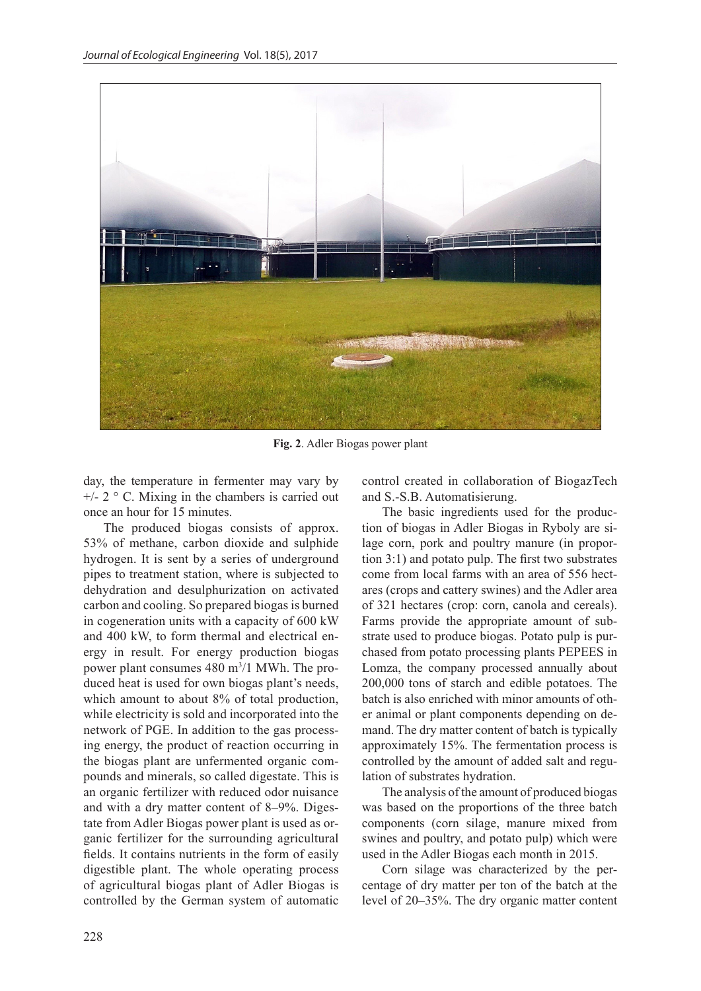

**Fig. 2**. Adler Biogas power plant

day, the temperature in fermenter may vary by  $+/- 2$  ° C. Mixing in the chambers is carried out once an hour for 15 minutes.

The produced biogas consists of approx. 53% of methane, carbon dioxide and sulphide hydrogen. It is sent by a series of underground pipes to treatment station, where is subjected to dehydration and desulphurization on activated carbon and cooling. So prepared biogas is burned in cogeneration units with a capacity of 600 kW and 400 kW, to form thermal and electrical energy in result. For energy production biogas power plant consumes 480 m<sup>3</sup>/1 MWh. The produced heat is used for own biogas plant's needs, which amount to about 8% of total production, while electricity is sold and incorporated into the network of PGE. In addition to the gas processing energy, the product of reaction occurring in the biogas plant are unfermented organic compounds and minerals, so called digestate. This is an organic fertilizer with reduced odor nuisance and with a dry matter content of 8–9%. Digestate from Adler Biogas power plant is used as organic fertilizer for the surrounding agricultural fields. It contains nutrients in the form of easily digestible plant. The whole operating process of agricultural biogas plant of Adler Biogas is controlled by the German system of automatic

control created in collaboration of BiogazTech and S.-S.B. Automatisierung.

The basic ingredients used for the production of biogas in Adler Biogas in Ryboly are silage corn, pork and poultry manure (in proportion 3:1) and potato pulp. The first two substrates come from local farms with an area of 556 hectares (crops and cattery swines) and the Adler area of 321 hectares (crop: corn, canola and cereals). Farms provide the appropriate amount of substrate used to produce biogas. Potato pulp is purchased from potato processing plants PEPEES in Lomza, the company processed annually about 200,000 tons of starch and edible potatoes. The batch is also enriched with minor amounts of other animal or plant components depending on demand. The dry matter content of batch is typically approximately 15%. The fermentation process is controlled by the amount of added salt and regulation of substrates hydration.

The analysis of the amount of produced biogas was based on the proportions of the three batch components (corn silage, manure mixed from swines and poultry, and potato pulp) which were used in the Adler Biogas each month in 2015.

Corn silage was characterized by the percentage of dry matter per ton of the batch at the level of 20–35%. The dry organic matter content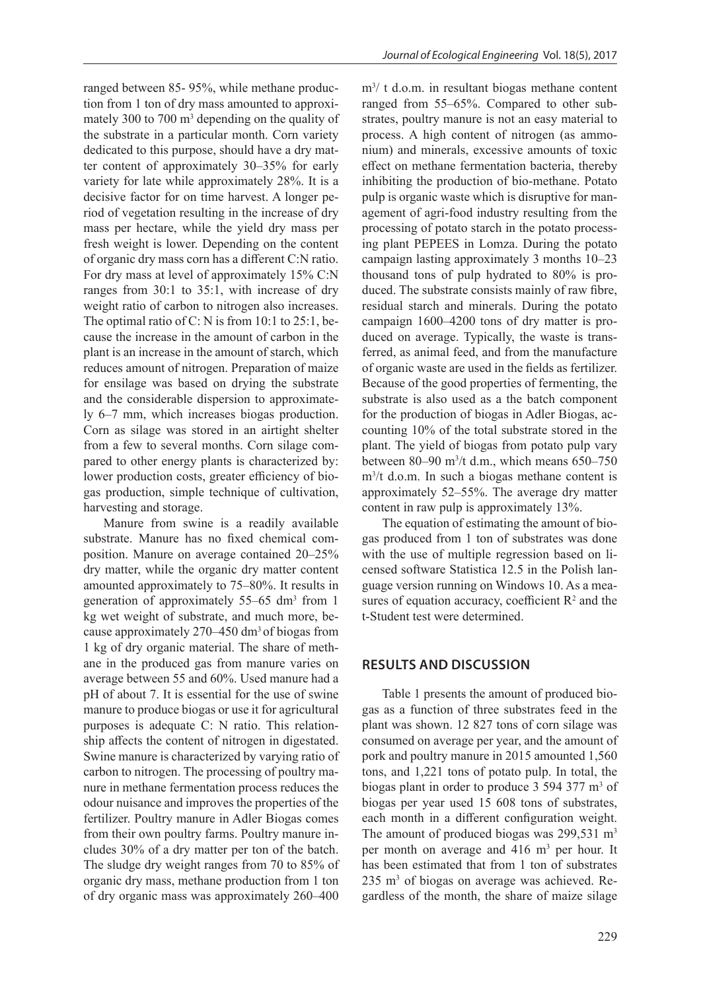ranged between 85- 95%, while methane production from 1 ton of dry mass amounted to approximately 300 to 700  $\text{m}^3$  depending on the quality of the substrate in a particular month. Corn variety dedicated to this purpose, should have a dry matter content of approximately 30–35% for early variety for late while approximately 28%. It is a decisive factor for on time harvest. A longer period of vegetation resulting in the increase of dry mass per hectare, while the yield dry mass per fresh weight is lower. Depending on the content of organic dry mass corn has a different C:N ratio. For dry mass at level of approximately 15% C:N ranges from 30:1 to 35:1, with increase of dry weight ratio of carbon to nitrogen also increases. The optimal ratio of C: N is from 10:1 to 25:1, because the increase in the amount of carbon in the plant is an increase in the amount of starch, which reduces amount of nitrogen. Preparation of maize for ensilage was based on drying the substrate and the considerable dispersion to approximately 6–7 mm, which increases biogas production. Corn as silage was stored in an airtight shelter from a few to several months. Corn silage compared to other energy plants is characterized by: lower production costs, greater efficiency of biogas production, simple technique of cultivation, harvesting and storage.

Manure from swine is a readily available substrate. Manure has no fixed chemical composition. Manure on average contained 20–25% dry matter, while the organic dry matter content amounted approximately to 75–80%. It results in generation of approximately 55–65 dm<sup>3</sup> from 1 kg wet weight of substrate, and much more, because approximately 270–450 dm3 of biogas from 1 kg of dry organic material. The share of methane in the produced gas from manure varies on average between 55 and 60%. Used manure had a pH of about 7. It is essential for the use of swine manure to produce biogas or use it for agricultural purposes is adequate C: N ratio. This relationship affects the content of nitrogen in digestated. Swine manure is characterized by varying ratio of carbon to nitrogen. The processing of poultry manure in methane fermentation process reduces the odour nuisance and improves the properties of the fertilizer. Poultry manure in Adler Biogas comes from their own poultry farms. Poultry manure includes 30% of a dry matter per ton of the batch. The sludge dry weight ranges from 70 to 85% of organic dry mass, methane production from 1 ton of dry organic mass was approximately 260–400

m3 / t d.o.m. in resultant biogas methane content ranged from 55–65%. Compared to other substrates, poultry manure is not an easy material to process. A high content of nitrogen (as ammonium) and minerals, excessive amounts of toxic effect on methane fermentation bacteria, thereby inhibiting the production of bio-methane. Potato pulp is organic waste which is disruptive for management of agri-food industry resulting from the processing of potato starch in the potato processing plant PEPEES in Lomza. During the potato campaign lasting approximately 3 months 10–23 thousand tons of pulp hydrated to 80% is produced. The substrate consists mainly of raw fibre, residual starch and minerals. During the potato campaign 1600–4200 tons of dry matter is produced on average. Typically, the waste is transferred, as animal feed, and from the manufacture of organic waste are used in the fields as fertilizer. Because of the good properties of fermenting, the substrate is also used as a the batch component for the production of biogas in Adler Biogas, accounting 10% of the total substrate stored in the plant. The yield of biogas from potato pulp vary between 80–90 m<sup>3</sup> /t d.m., which means 650–750 m3 /t d.o.m. In such a biogas methane content is approximately 52–55%. The average dry matter content in raw pulp is approximately 13%.

The equation of estimating the amount of biogas produced from 1 ton of substrates was done with the use of multiple regression based on licensed software Statistica 12.5 in the Polish language version running on Windows 10. As a measures of equation accuracy, coefficient  $\mathbb{R}^2$  and the t-Student test were determined.

## **RESULTS AND DISCUSSION**

Table 1 presents the amount of produced biogas as a function of three substrates feed in the plant was shown. 12 827 tons of corn silage was consumed on average per year, and the amount of pork and poultry manure in 2015 amounted 1,560 tons, and 1,221 tons of potato pulp. In total, the biogas plant in order to produce 3 594 377 m<sup>3</sup> of biogas per year used 15 608 tons of substrates, each month in a different configuration weight. The amount of produced biogas was 299,531 m<sup>3</sup> per month on average and 416 m<sup>3</sup> per hour. It has been estimated that from 1 ton of substrates 235 m<sup>3</sup> of biogas on average was achieved. Regardless of the month, the share of maize silage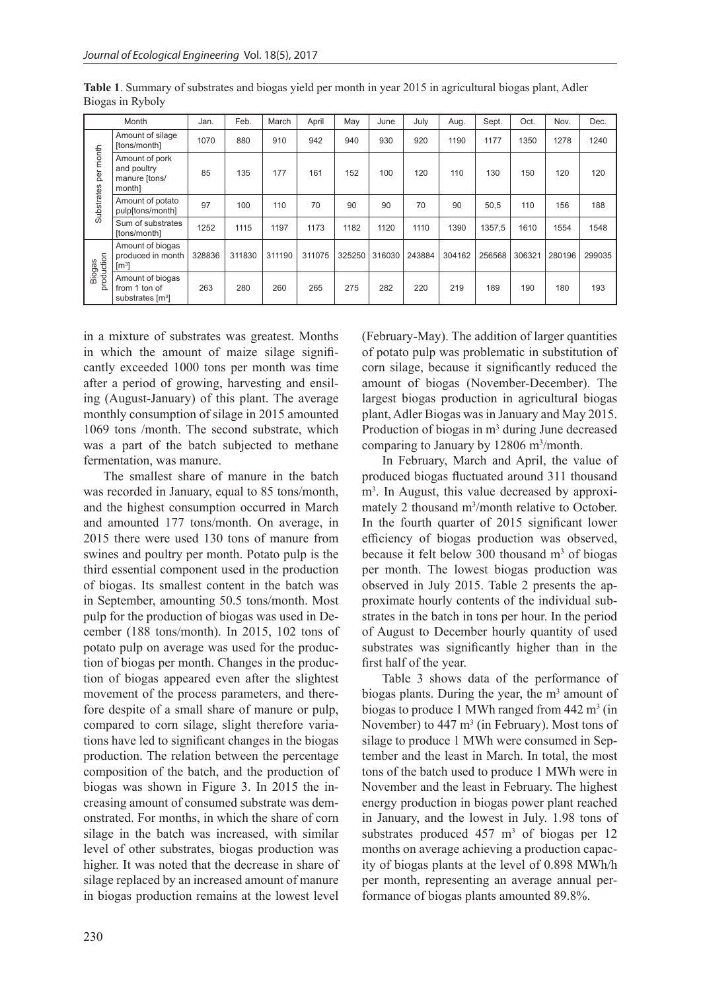| Month                   |                                                                   | Jan.   | Feb.   | March  | April  | May    | June   | July   | Aug.   | Sept.  | Oct.   | Nov.   | Dec.   |
|-------------------------|-------------------------------------------------------------------|--------|--------|--------|--------|--------|--------|--------|--------|--------|--------|--------|--------|
| per month<br>Substrates | Amount of silage<br>[tons/month]                                  | 1070   | 880    | 910    | 942    | 940    | 930    | 920    | 1190   | 1177   | 1350   | 1278   | 1240   |
|                         | Amount of pork<br>and poultry<br>manure [tons/<br>month]          | 85     | 135    | 177    | 161    | 152    | 100    | 120    | 110    | 130    | 150    | 120    | 120    |
|                         | Amount of potato<br>pulp[tons/month]                              | 97     | 100    | 110    | 70     | 90     | 90     | 70     | 90     | 50,5   | 110    | 156    | 188    |
|                         | Sum of substrates<br>[tons/month]                                 | 1252   | 1115   | 1197   | 1173   | 1182   | 1120   | 1110   | 1390   | 1357,5 | 1610   | 1554   | 1548   |
| production<br>Biogas    | Amount of biogas<br>produced in month<br>$\lceil m^3 \rceil$      | 328836 | 311830 | 311190 | 311075 | 325250 | 316030 | 243884 | 304162 | 256568 | 306321 | 280196 | 299035 |
|                         | Amount of biogas<br>from 1 ton of<br>substrates [m <sup>3</sup> ] | 263    | 280    | 260    | 265    | 275    | 282    | 220    | 219    | 189    | 190    | 180    | 193    |

**Table 1**. Summary of substrates and biogas yield per month in year 2015 in agricultural biogas plant, Adler Biogas in Ryboly

in a mixture of substrates was greatest. Months in which the amount of maize silage significantly exceeded 1000 tons per month was time after a period of growing, harvesting and ensiling (August-January) of this plant. The average monthly consumption of silage in 2015 amounted 1069 tons /month. The second substrate, which was a part of the batch subjected to methane fermentation, was manure.

The smallest share of manure in the batch was recorded in January, equal to 85 tons/month, and the highest consumption occurred in March and amounted 177 tons/month. On average, in 2015 there were used 130 tons of manure from swines and poultry per month. Potato pulp is the third essential component used in the production of biogas. Its smallest content in the batch was in September, amounting 50.5 tons/month. Most pulp for the production of biogas was used in December (188 tons/month). In 2015, 102 tons of potato pulp on average was used for the production of biogas per month. Changes in the production of biogas appeared even after the slightest movement of the process parameters, and therefore despite of a small share of manure or pulp, compared to corn silage, slight therefore variations have led to significant changes in the biogas production. The relation between the percentage composition of the batch, and the production of biogas was shown in Figure 3. In 2015 the increasing amount of consumed substrate was demonstrated. For months, in which the share of corn silage in the batch was increased, with similar level of other substrates, biogas production was higher. It was noted that the decrease in share of silage replaced by an increased amount of manure in biogas production remains at the lowest level

(February-May). The addition of larger quantities of potato pulp was problematic in substitution of corn silage, because it significantly reduced the amount of biogas (November-December). The largest biogas production in agricultural biogas plant, Adler Biogas was in January and May 2015. Production of biogas in m<sup>3</sup> during June decreased comparing to January by 12806 m<sup>3</sup>/month.

In February, March and April, the value of produced biogas fluctuated around 311 thousand m3 . In August, this value decreased by approximately 2 thousand m<sup>3</sup>/month relative to October. In the fourth quarter of 2015 significant lower efficiency of biogas production was observed, because it felt below 300 thousand  $m<sup>3</sup>$  of biogas per month. The lowest biogas production was observed in July 2015. Table 2 presents the approximate hourly contents of the individual substrates in the batch in tons per hour. In the period of August to December hourly quantity of used substrates was significantly higher than in the first half of the year.

Table 3 shows data of the performance of biogas plants. During the year, the  $m<sup>3</sup>$  amount of biogas to produce 1 MWh ranged from  $442 \text{ m}^3$  (in November) to  $447 \text{ m}^3$  (in February). Most tons of silage to produce 1 MWh were consumed in September and the least in March. In total, the most tons of the batch used to produce 1 MWh were in November and the least in February. The highest energy production in biogas power plant reached in January, and the lowest in July. 1.98 tons of substrates produced  $457 \text{ m}^3$  of biogas per 12 months on average achieving a production capacity of biogas plants at the level of 0.898 MWh/h per month, representing an average annual performance of biogas plants amounted 89.8%.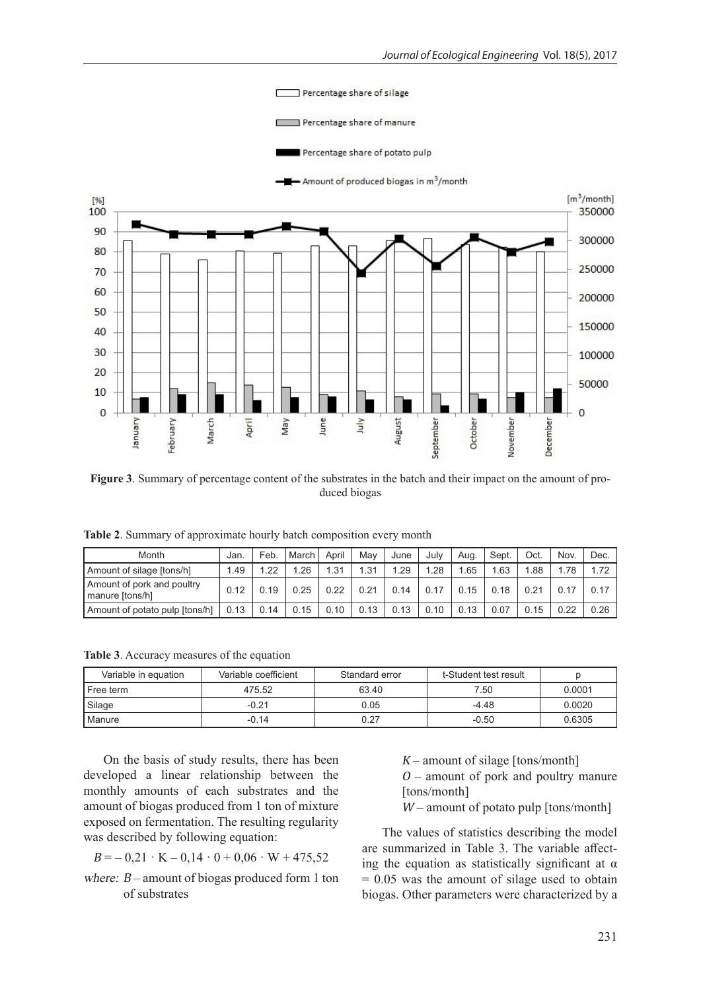

**Figure 3**. Summary of percentage content of the substrates in the batch and their impact on the amount of produced biogas

**Table 2**. Summary of approximate hourly batch composition every month

| Month                                         | Jan. | Feb. | March | April | May  | June | Julv | Aua. | Sept. | Oct. | Nov. | Dec. |
|-----------------------------------------------|------|------|-------|-------|------|------|------|------|-------|------|------|------|
| Amount of silage [tons/h]                     | 1.49 | 1.22 | .26   | .31   | 1.31 | .29  | 1.28 | .65  | .63   | .88  | 1.78 | 1.72 |
| Amount of pork and poultry<br>manure [tons/h] | 0.12 | 0.19 | 0.25  | 0.22  | 0.21 | 0.14 |      | 0.15 | 0.18  | 0.21 | 0.17 | 0.17 |
| Amount of potato pulp [tons/h]                | 0.13 | 0.14 | 0.15  | 0.10  | 0.13 | 0.13 | 0.10 | 0.13 | 0.07  | 0.15 | 0.22 | 0.26 |

**Table 3**. Accuracy measures of the equation

| Variable in equation | Variable coefficient | Standard error | t-Student test result |        |
|----------------------|----------------------|----------------|-----------------------|--------|
| l Free term          | 475.52               | 63.40          | 7.50                  | 0.0001 |
| Silage               | $-0.21$              | 0.05           | $-4.48$               | 0.0020 |
| <b>I</b> Manure      | $-0.14$              | 0.27           | $-0.50$               | 0.6305 |

On the basis of study results, there has been developed a linear relationship between the monthly amounts of each substrates and the amount of biogas produced from 1 ton of mixture exposed on fermentation. The resulting regularity was described by following equation:

$$
B = -0.21 \cdot K - 0.14 \cdot 0 + 0.06 \cdot W + 475.52
$$

where: <sup>B</sup>– amount of biogas produced form 1 ton of substrates

- $K$  amount of silage [tons/month]  $O$  – amount of pork and poultry manure
- [tons/month]
- W amount of potato pulp [tons/month]

The values of statistics describing the model are summarized in Table 3. The variable affecting the equation as statistically significant at  $\alpha$  $= 0.05$  was the amount of silage used to obtain biogas. Other parameters were characterized by a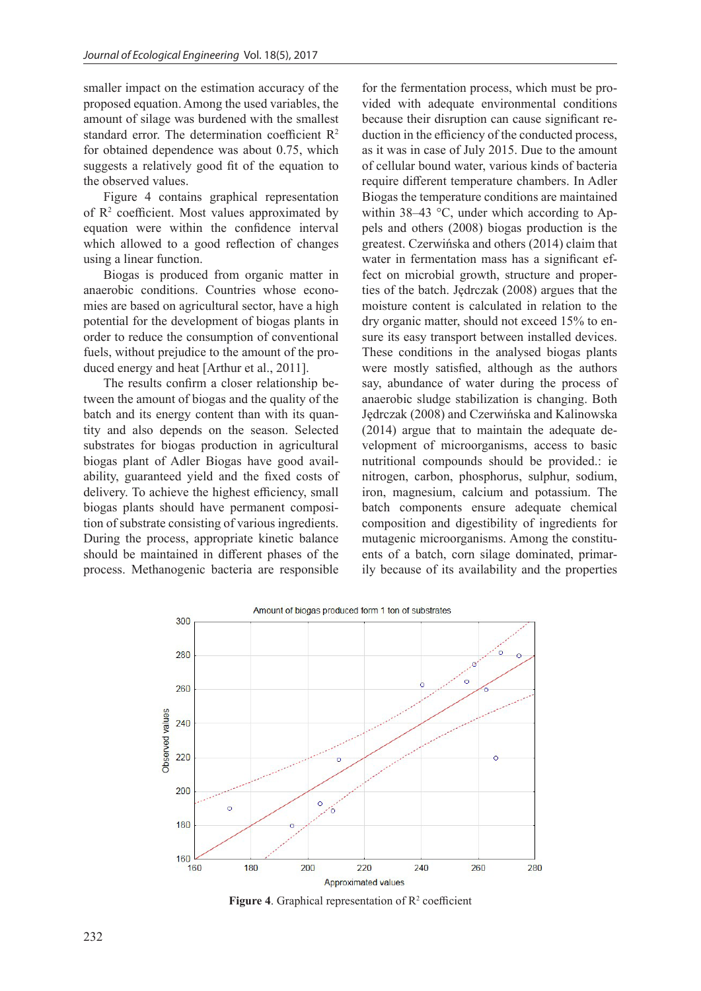smaller impact on the estimation accuracy of the proposed equation. Among the used variables, the amount of silage was burdened with the smallest standard error. The determination coefficient R<sup>2</sup> for obtained dependence was about 0.75, which suggests a relatively good fit of the equation to the observed values.

Figure 4 contains graphical representation of  $\mathbb{R}^2$  coefficient. Most values approximated by equation were within the confidence interval which allowed to a good reflection of changes using a linear function.

Biogas is produced from organic matter in anaerobic conditions. Countries whose economies are based on agricultural sector, have a high potential for the development of biogas plants in order to reduce the consumption of conventional fuels, without prejudice to the amount of the produced energy and heat [Arthur et al., 2011].

The results confirm a closer relationship between the amount of biogas and the quality of the batch and its energy content than with its quantity and also depends on the season. Selected substrates for biogas production in agricultural biogas plant of Adler Biogas have good availability, guaranteed yield and the fixed costs of delivery. To achieve the highest efficiency, small biogas plants should have permanent composition of substrate consisting of various ingredients. During the process, appropriate kinetic balance should be maintained in different phases of the process. Methanogenic bacteria are responsible

for the fermentation process, which must be provided with adequate environmental conditions because their disruption can cause significant reduction in the efficiency of the conducted process, as it was in case of July 2015. Due to the amount of cellular bound water, various kinds of bacteria require different temperature chambers. In Adler Biogas the temperature conditions are maintained within 38–43 °C, under which according to Appels and others (2008) biogas production is the greatest. Czerwińska and others (2014) claim that water in fermentation mass has a significant effect on microbial growth, structure and properties of the batch. Jędrczak (2008) argues that the moisture content is calculated in relation to the dry organic matter, should not exceed 15% to ensure its easy transport between installed devices. These conditions in the analysed biogas plants were mostly satisfied, although as the authors say, abundance of water during the process of anaerobic sludge stabilization is changing. Both Jędrczak (2008) and Czerwińska and Kalinowska (2014) argue that to maintain the adequate development of microorganisms, access to basic nutritional compounds should be provided.: ie nitrogen, carbon, phosphorus, sulphur, sodium, iron, magnesium, calcium and potassium. The batch components ensure adequate chemical composition and digestibility of ingredients for mutagenic microorganisms. Among the constituents of a batch, corn silage dominated, primarily because of its availability and the properties



**Figure 4.** Graphical representation of  $\mathbb{R}^2$  coefficient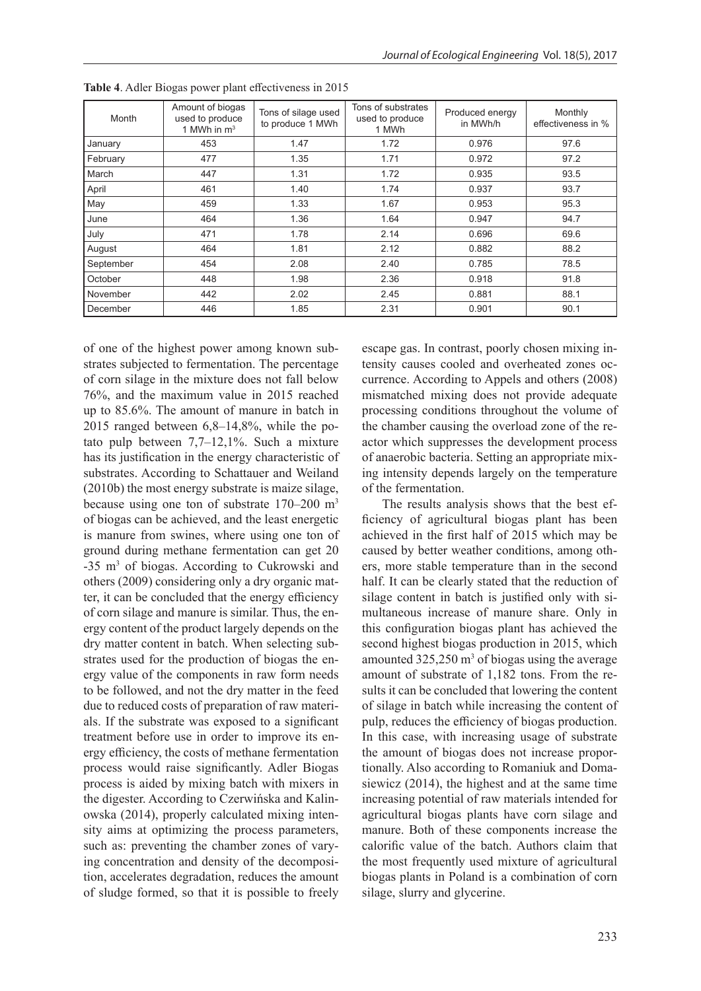| Month     | Amount of biogas<br>used to produce<br>1 MWh in $m3$ | Tons of silage used<br>to produce 1 MWh | Tons of substrates<br>used to produce<br>1 MWh | Produced energy<br>in MWh/h | Monthly<br>effectiveness in % |
|-----------|------------------------------------------------------|-----------------------------------------|------------------------------------------------|-----------------------------|-------------------------------|
| January   | 453                                                  | 1.47                                    | 1.72                                           | 0.976                       | 97.6                          |
| February  | 477                                                  | 1.35                                    | 1.71                                           | 0.972                       | 97.2                          |
| March     | 447                                                  | 1.31                                    | 1.72                                           | 0.935                       | 93.5                          |
| April     | 461                                                  | 1.40                                    | 1.74                                           | 0.937                       | 93.7                          |
| May       | 459                                                  | 1.33                                    | 1.67                                           | 0.953                       | 95.3                          |
| June      | 464                                                  | 1.36                                    | 1.64                                           | 0.947                       | 94.7                          |
| July      | 471                                                  | 1.78                                    | 2.14                                           | 0.696                       | 69.6                          |
| August    | 464                                                  | 1.81                                    | 2.12                                           | 0.882                       | 88.2                          |
| September | 454                                                  | 2.08                                    | 2.40                                           | 0.785                       | 78.5                          |
| October   | 448                                                  | 1.98                                    | 2.36                                           | 0.918                       | 91.8                          |
| November  | 442                                                  | 2.02                                    | 2.45                                           | 0.881                       | 88.1                          |
| December  | 446                                                  | 1.85                                    | 2.31                                           | 0.901                       | 90.1                          |

**Table 4**. Adler Biogas power plant effectiveness in 2015

of one of the highest power among known substrates subjected to fermentation. The percentage of corn silage in the mixture does not fall below 76%, and the maximum value in 2015 reached up to 85.6%. The amount of manure in batch in 2015 ranged between 6,8–14,8%, while the potato pulp between 7,7–12,1%. Such a mixture has its justification in the energy characteristic of substrates. According to Schattauer and Weiland (2010b) the most energy substrate is maize silage, because using one ton of substrate 170–200 m3 of biogas can be achieved, and the least energetic is manure from swines, where using one ton of ground during methane fermentation can get 20 -35 m<sup>3</sup> of biogas. According to Cukrowski and others (2009) considering only a dry organic matter, it can be concluded that the energy efficiency of corn silage and manure is similar. Thus, the energy content of the product largely depends on the dry matter content in batch. When selecting substrates used for the production of biogas the energy value of the components in raw form needs to be followed, and not the dry matter in the feed due to reduced costs of preparation of raw materials. If the substrate was exposed to a significant treatment before use in order to improve its energy efficiency, the costs of methane fermentation process would raise significantly. Adler Biogas process is aided by mixing batch with mixers in the digester. According to Czerwińska and Kalinowska (2014), properly calculated mixing intensity aims at optimizing the process parameters, such as: preventing the chamber zones of varying concentration and density of the decomposition, accelerates degradation, reduces the amount of sludge formed, so that it is possible to freely

escape gas. In contrast, poorly chosen mixing intensity causes cooled and overheated zones occurrence. According to Appels and others (2008) mismatched mixing does not provide adequate processing conditions throughout the volume of the chamber causing the overload zone of the reactor which suppresses the development process of anaerobic bacteria. Setting an appropriate mixing intensity depends largely on the temperature of the fermentation.

The results analysis shows that the best efficiency of agricultural biogas plant has been achieved in the first half of 2015 which may be caused by better weather conditions, among others, more stable temperature than in the second half. It can be clearly stated that the reduction of silage content in batch is justified only with simultaneous increase of manure share. Only in this configuration biogas plant has achieved the second highest biogas production in 2015, which amounted  $325,250 \text{ m}^3$  of biogas using the average amount of substrate of 1,182 tons. From the results it can be concluded that lowering the content of silage in batch while increasing the content of pulp, reduces the efficiency of biogas production. In this case, with increasing usage of substrate the amount of biogas does not increase proportionally. Also according to Romaniuk and Domasiewicz (2014), the highest and at the same time increasing potential of raw materials intended for agricultural biogas plants have corn silage and manure. Both of these components increase the calorific value of the batch. Authors claim that the most frequently used mixture of agricultural biogas plants in Poland is a combination of corn silage, slurry and glycerine.